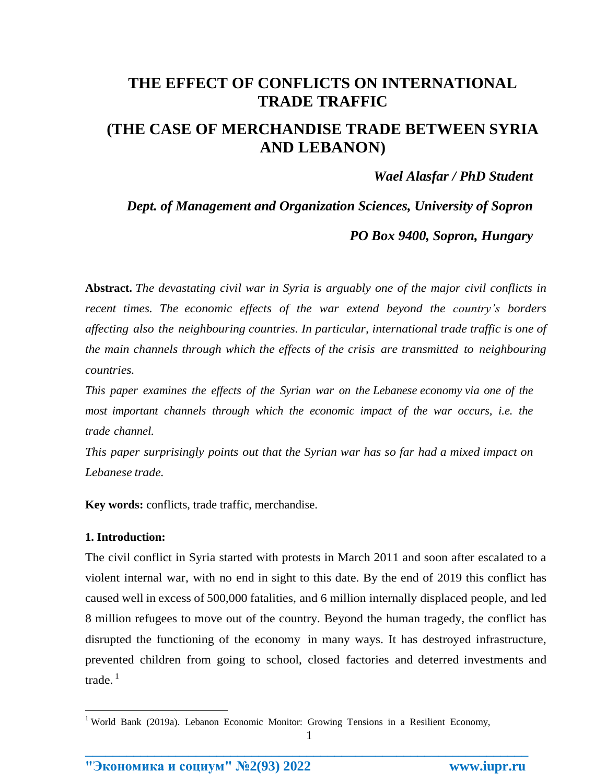# **THE EFFECT OF CONFLICTS ON INTERNATIONAL TRADE TRAFFIC (THE CASE OF MERCHANDISE TRADE BETWEEN SYRIA AND LEBANON)**

*Wael Alasfar / PhD Student*

*Dept. of Management and Organization Sciences, University of Sopron*

*PO Box 9400, Sopron, Hungary*

**Abstract.** *The devastating civil war in Syria is arguably one of the major civil conflicts in recent times. The economic effects of the war extend beyond the country's borders affecting also the neighbouring countries. In particular, international trade traffic is one of the main channels through which the effects of the crisis are transmitted to neighbouring countries.*

*This paper examines the effects of the Syrian war on the Lebanese economy via one of the most important channels through which the economic impact of the war occurs, i.e. the trade channel.*

*This paper surprisingly points out that the Syrian war has so far had a mixed impact on Lebanese trade.*

**Key words:** conflicts, trade traffic, merchandise.

### **1. Introduction:**

 $\overline{a}$ 

The civil conflict in Syria started with protests in March 2011 and soon after escalated to a violent internal war, with no end in sight to this date. By the end of 2019 this conflict has caused well in excess of 500,000 fatalities, and 6 million internally displaced people, and led 8 million refugees to move out of the country. Beyond the human tragedy, the conflict has disrupted the functioning of the economy in many ways. It has destroyed infrastructure, prevented children from going to school, closed factories and deterred investments and trade.<sup>1</sup>

1 **\_\_\_\_\_\_\_\_\_\_\_\_\_\_\_\_\_\_\_\_\_\_\_\_\_\_\_\_\_\_\_\_\_\_\_\_\_\_\_\_\_\_\_\_\_\_\_\_\_\_\_\_\_\_\_\_\_\_\_\_\_\_\_\_**

<sup>&</sup>lt;sup>1</sup> World Bank (2019a). Lebanon Economic Monitor: Growing Tensions in a Resilient Economy,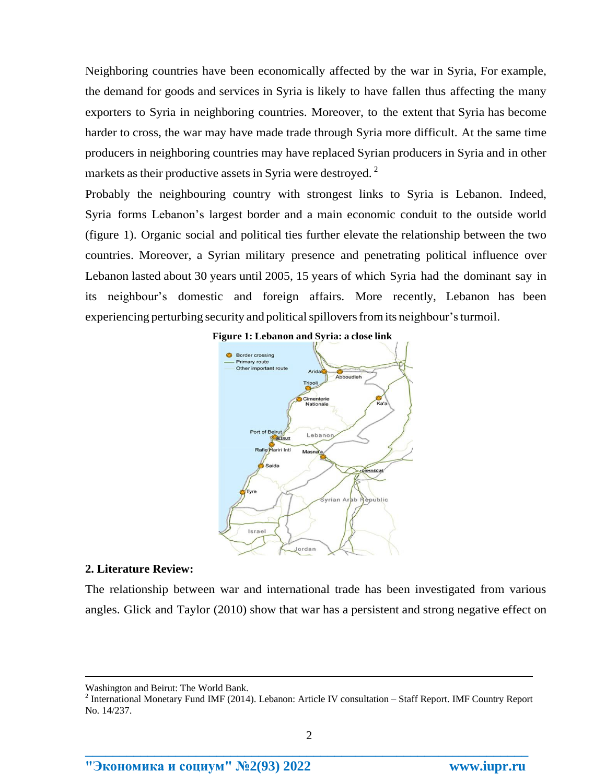Neighboring countries have been economically affected by the war in Syria, For example, the demand for goods and services in Syria is likely to have fallen thus affecting the many exporters to Syria in neighboring countries. Moreover, to the extent that Syria has become harder to cross, the war may have made trade through Syria more difficult. At the same time producers in neighboring countries may have replaced Syrian producers in Syria and in other markets as their productive assets in Syria were destroyed.<sup>2</sup>

Probably the neighbouring country with strongest links to Syria is Lebanon. Indeed, Syria forms Lebanon's largest border and a main economic conduit to the outside world (figure 1). Organic social and political ties further elevate the relationship between the two countries. Moreover, a Syrian military presence and penetrating political influence over Lebanon lasted about 30 years until 2005, 15 years of which Syria had the dominant say in its neighbour's domestic and foreign affairs. More recently, Lebanon has been experiencing perturbing security and political spillovers from its neighbour's turmoil.



#### **2. Literature Review:**

 $\overline{a}$ 

The relationship between war and international trade has been investigated from various angles. Glick and Taylor (2010) show that war has a persistent and strong negative effect on

**"Экономика и социум" №2(93) 2022 www.iupr.ru**

Washington and Beirut: The World Bank.

<sup>&</sup>lt;sup>2</sup> International Monetary Fund IMF (2014). Lebanon: Article IV consultation – Staff Report. IMF Country Report No. 14/237.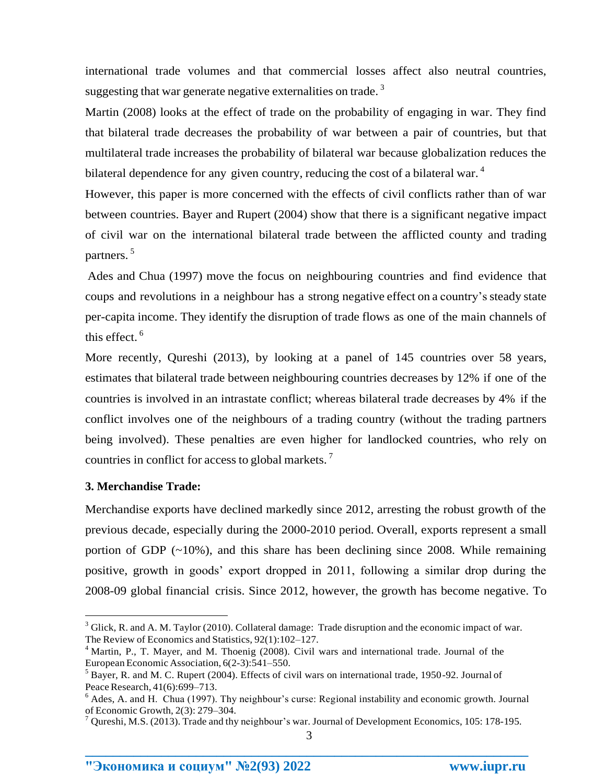international trade volumes and that commercial losses affect also neutral countries, suggesting that war generate negative externalities on trade.<sup>3</sup>

Martin (2008) looks at the effect of trade on the probability of engaging in war. They find that bilateral trade decreases the probability of war between a pair of countries, but that multilateral trade increases the probability of bilateral war because globalization reduces the bilateral dependence for any given country, reducing the cost of a bilateral war.<sup>4</sup>

However, this paper is more concerned with the effects of civil conflicts rather than of war between countries. Bayer and Rupert (2004) show that there is a significant negative impact of civil war on the international bilateral trade between the afflicted county and trading partners.<sup>5</sup>

Ades and Chua (1997) move the focus on neighbouring countries and find evidence that coups and revolutions in a neighbour has a strong negative effect on a country's steady state per-capita income. They identify the disruption of trade flows as one of the main channels of this effect.<sup>6</sup>

More recently, Qureshi (2013), by looking at a panel of 145 countries over 58 years, estimates that bilateral trade between neighbouring countries decreases by 12% if one of the countries is involved in an intrastate conflict; whereas bilateral trade decreases by 4% if the conflict involves one of the neighbours of a trading country (without the trading partners being involved). These penalties are even higher for landlocked countries, who rely on countries in conflict for access to global markets.<sup>7</sup>

## **3. Merchandise Trade:**

 $\overline{a}$ 

Merchandise exports have declined markedly since 2012, arresting the robust growth of the previous decade, especially during the 2000-2010 period. Overall, exports represent a small portion of GDP  $(-10\%)$ , and this share has been declining since 2008. While remaining positive, growth in goods' export dropped in 2011, following a similar drop during the 2008-09 global financial crisis. Since 2012, however, the growth has become negative. To

 $3$  Glick, R. and A. M. Taylor (2010). Collateral damage: Trade disruption and the economic impact of war. The Review of Economics and Statistics, 92(1):102–127.

<sup>&</sup>lt;sup>4</sup> Martin, P., T. Mayer, and M. Thoenig (2008). Civil wars and international trade. Journal of the European Economic Association, 6(2-3):541–550.

 $<sup>5</sup>$  Bayer, R. and M. C. Rupert (2004). Effects of civil wars on international trade, 1950-92. Journal of</sup> Peace Research, 41(6):699-713.

 $6$  Ades, A. and H. Chua (1997). Thy neighbour's curse: Regional instability and economic growth. Journal of Economic Growth, 2(3): 279–304.

 $7$  Qureshi, M.S. (2013). Trade and thy neighbour's war. Journal of Development Economics, 105: 178-195.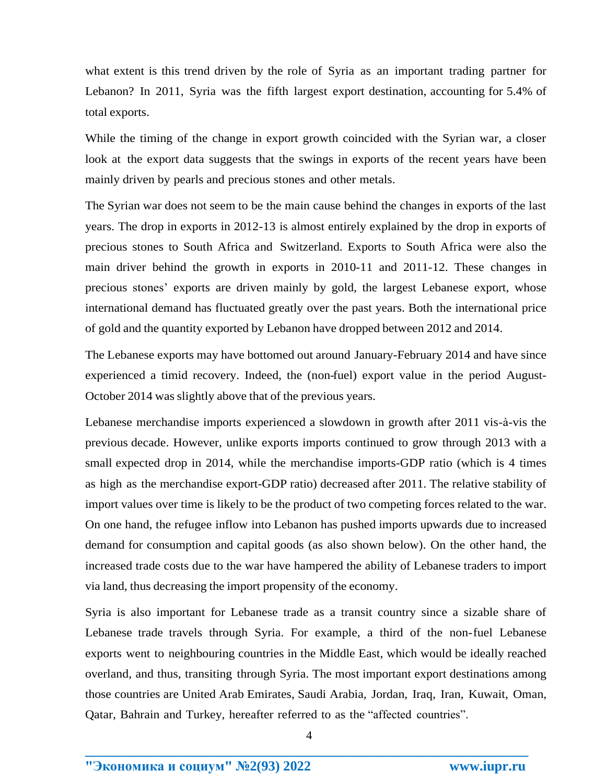what extent is this trend driven by the role of Syria as an important trading partner for Lebanon? In 2011, Syria was the fifth largest export destination, accounting for 5.4% of total exports.

While the timing of the change in export growth coincided with the Syrian war, a closer look at the export data suggests that the swings in exports of the recent years have been mainly driven by pearls and precious stones and other metals.

The Syrian war does not seem to be the main cause behind the changes in exports of the last years. The drop in exports in 2012-13 is almost entirely explained by the drop in exports of precious stones to South Africa and Switzerland. Exports to South Africa were also the main driver behind the growth in exports in 2010-11 and 2011-12. These changes in precious stones' exports are driven mainly by gold, the largest Lebanese export, whose international demand has fluctuated greatly over the past years. Both the international price of gold and the quantity exported by Lebanon have dropped between 2012 and 2014.

The Lebanese exports may have bottomed out around January-February 2014 and have since experienced a timid recovery. Indeed, the (non-fuel) export value in the period August-October 2014 was slightly above that of the previous years.

Lebanese merchandise imports experienced a slowdown in growth after 2011 vis-à-vis the previous decade. However, unlike exports imports continued to grow through 2013 with a small expected drop in 2014, while the merchandise imports-GDP ratio (which is 4 times as high as the merchandise export-GDP ratio) decreased after 2011. The relative stability of import values over time is likely to be the product of two competing forces related to the war. On one hand, the refugee inflow into Lebanon has pushed imports upwards due to increased demand for consumption and capital goods (as also shown below). On the other hand, the increased trade costs due to the war have hampered the ability of Lebanese traders to import via land, thus decreasing the import propensity of the economy.

Syria is also important for Lebanese trade as a transit country since a sizable share of Lebanese trade travels through Syria. For example, a third of the non-fuel Lebanese exports went to neighbouring countries in the Middle East, which would be ideally reached overland, and thus, transiting through Syria. The most important export destinations among those countries are United Arab Emirates, Saudi Arabia, Jordan, Iraq, Iran, Kuwait, Oman, Qatar, Bahrain and Turkey, hereafter referred to as the "affected countries".

4 **\_\_\_\_\_\_\_\_\_\_\_\_\_\_\_\_\_\_\_\_\_\_\_\_\_\_\_\_\_\_\_\_\_\_\_\_\_\_\_\_\_\_\_\_\_\_\_\_\_\_\_\_\_\_\_\_\_\_\_\_\_\_\_\_**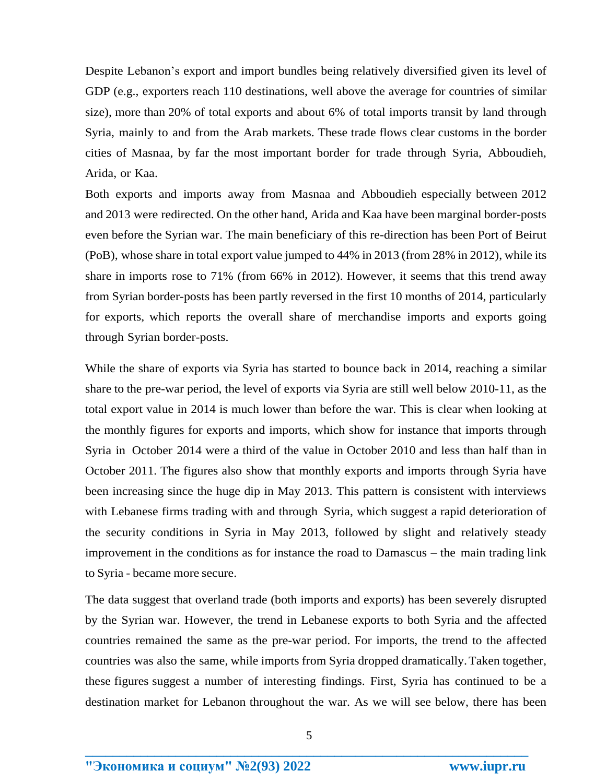Despite Lebanon's export and import bundles being relatively diversified given its level of GDP (e.g., exporters reach 110 destinations, well above the average for countries of similar size), more than 20% of total exports and about 6% of total imports transit by land through Syria, mainly to and from the Arab markets. These trade flows clear customs in the border cities of Masnaa, by far the most important border for trade through Syria, Abboudieh, Arida, or Kaa.

Both exports and imports away from Masnaa and Abboudieh especially between 2012 and 2013 were redirected. On the other hand, Arida and Kaa have been marginal border-posts even before the Syrian war. The main beneficiary of this re-direction has been Port of Beirut (PoB), whose share in total export value jumped to 44% in 2013 (from 28% in 2012), while its share in imports rose to 71% (from 66% in 2012). However, it seems that this trend away from Syrian border-posts has been partly reversed in the first 10 months of 2014, particularly for exports, which reports the overall share of merchandise imports and exports going through Syrian border-posts.

While the share of exports via Syria has started to bounce back in 2014, reaching a similar share to the pre-war period, the level of exports via Syria are still well below 2010-11, as the total export value in 2014 is much lower than before the war. This is clear when looking at the monthly figures for exports and imports, which show for instance that imports through Syria in October 2014 were a third of the value in October 2010 and less than half than in October 2011. The figures also show that monthly exports and imports through Syria have been increasing since the huge dip in May 2013. This pattern is consistent with interviews with Lebanese firms trading with and through Syria, which suggest a rapid deterioration of the security conditions in Syria in May 2013, followed by slight and relatively steady improvement in the conditions as for instance the road to Damascus – the main trading link to Syria - became more secure.

The data suggest that overland trade (both imports and exports) has been severely disrupted by the Syrian war. However, the trend in Lebanese exports to both Syria and the affected countries remained the same as the pre-war period. For imports, the trend to the affected countries was also the same, while imports from Syria dropped dramatically. Taken together, these figures suggest a number of interesting findings. First, Syria has continued to be a destination market for Lebanon throughout the war. As we will see below, there has been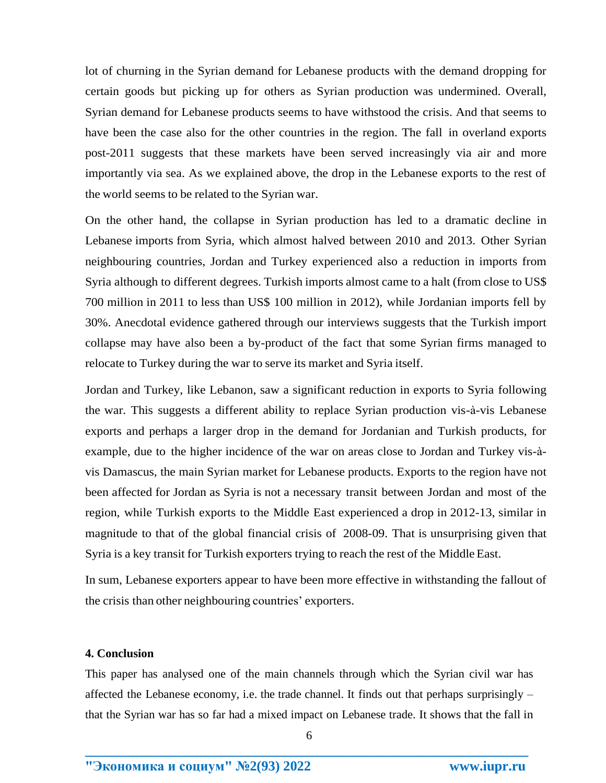lot of churning in the Syrian demand for Lebanese products with the demand dropping for certain goods but picking up for others as Syrian production was undermined. Overall, Syrian demand for Lebanese products seems to have withstood the crisis. And that seems to have been the case also for the other countries in the region. The fall in overland exports post-2011 suggests that these markets have been served increasingly via air and more importantly via sea. As we explained above, the drop in the Lebanese exports to the rest of the world seems to be related to the Syrian war.

On the other hand, the collapse in Syrian production has led to a dramatic decline in Lebanese imports from Syria, which almost halved between 2010 and 2013. Other Syrian neighbouring countries, Jordan and Turkey experienced also a reduction in imports from Syria although to different degrees. Turkish imports almost came to a halt (from close to US\$ 700 million in 2011 to less than US\$ 100 million in 2012), while Jordanian imports fell by 30%. Anecdotal evidence gathered through our interviews suggests that the Turkish import collapse may have also been a by-product of the fact that some Syrian firms managed to relocate to Turkey during the war to serve its market and Syria itself.

Jordan and Turkey, like Lebanon, saw a significant reduction in exports to Syria following the war. This suggests a different ability to replace Syrian production vis-à-vis Lebanese exports and perhaps a larger drop in the demand for Jordanian and Turkish products, for example, due to the higher incidence of the war on areas close to Jordan and Turkey vis-àvis Damascus, the main Syrian market for Lebanese products. Exports to the region have not been affected for Jordan as Syria is not a necessary transit between Jordan and most of the region, while Turkish exports to the Middle East experienced a drop in 2012-13, similar in magnitude to that of the global financial crisis of 2008-09. That is unsurprising given that Syria is a key transit for Turkish exporters trying to reach the rest of the Middle East.

In sum, Lebanese exporters appear to have been more effective in withstanding the fallout of the crisis than other neighbouring countries' exporters.

## **4. Conclusion**

This paper has analysed one of the main channels through which the Syrian civil war has affected the Lebanese economy, i.e. the trade channel. It finds out that perhaps surprisingly – that the Syrian war has so far had a mixed impact on Lebanese trade. It shows that the fall in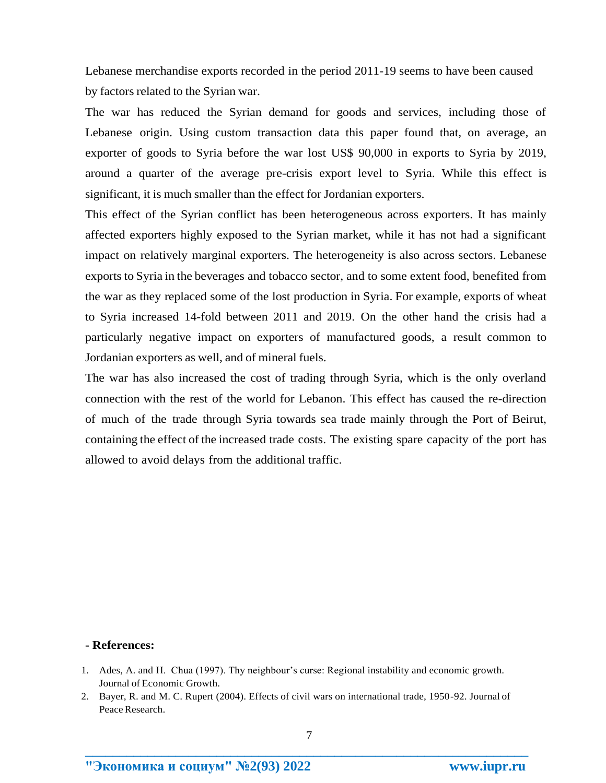Lebanese merchandise exports recorded in the period 2011-19 seems to have been caused by factors related to the Syrian war.

The war has reduced the Syrian demand for goods and services, including those of Lebanese origin. Using custom transaction data this paper found that, on average, an exporter of goods to Syria before the war lost US\$ 90,000 in exports to Syria by 2019, around a quarter of the average pre-crisis export level to Syria. While this effect is significant, it is much smaller than the effect for Jordanian exporters.

This effect of the Syrian conflict has been heterogeneous across exporters. It has mainly affected exporters highly exposed to the Syrian market, while it has not had a significant impact on relatively marginal exporters. The heterogeneity is also across sectors. Lebanese exports to Syria in the beverages and tobacco sector, and to some extent food, benefited from the war as they replaced some of the lost production in Syria. For example, exports of wheat to Syria increased 14-fold between 2011 and 2019. On the other hand the crisis had a particularly negative impact on exporters of manufactured goods, a result common to Jordanian exporters as well, and of mineral fuels.

The war has also increased the cost of trading through Syria, which is the only overland connection with the rest of the world for Lebanon. This effect has caused the re-direction of much of the trade through Syria towards sea trade mainly through the Port of Beirut, containing the effect of the increased trade costs. The existing spare capacity of the port has allowed to avoid delays from the additional traffic.

#### **- References:**

**"Экономика и социум" №2(93) 2022 www.iupr.ru**

<sup>1.</sup> Ades, A. and H. Chua (1997). Thy neighbour's curse: Regional instability and economic growth. Journal of Economic Growth.

<sup>2.</sup> Bayer, R. and M. C. Rupert (2004). Effects of civil wars on international trade, 1950-92. Journal of Peace Research.